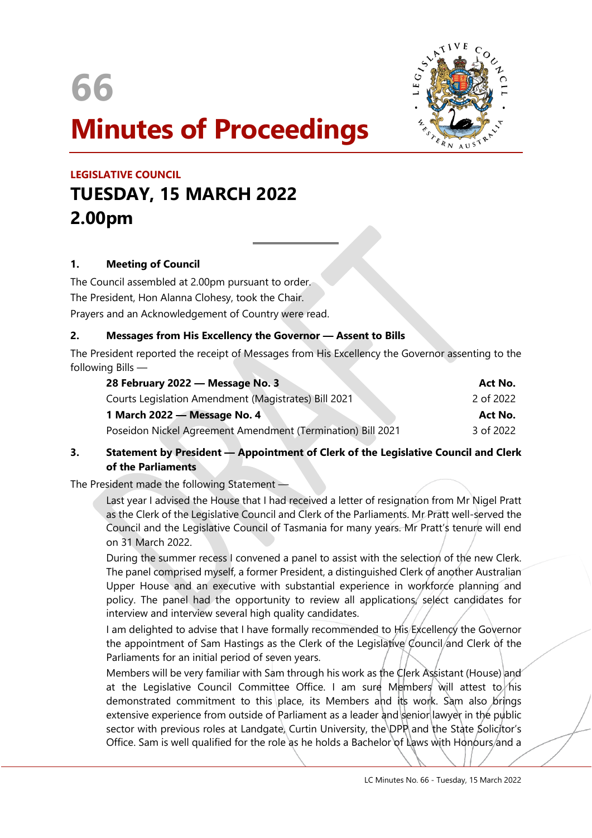



# **Minutes of Proceedings**

## **LEGISLATIVE COUNCIL TUESDAY, 15 MARCH 2022 2.00pm**

#### **1. Meeting of Council**

The Council assembled at 2.00pm pursuant to order. The President, Hon Alanna Clohesy, took the Chair. Prayers and an Acknowledgement of Country were read.

#### **2. Messages from His Excellency the Governor — Assent to Bills**

 $\overline{a}$ 

The President reported the receipt of Messages from His Excellency the Governor assenting to the following Bills —

| 28 February 2022 – Message No. 3                            | Act No.   |
|-------------------------------------------------------------|-----------|
| Courts Legislation Amendment (Magistrates) Bill 2021        | 2 of 2022 |
| 1 March 2022 – Message No. 4                                | Act No.   |
| Poseidon Nickel Agreement Amendment (Termination) Bill 2021 | 3 of 2022 |

#### **3. Statement by President — Appointment of Clerk of the Legislative Council and Clerk of the Parliaments**

The President made the following Statement —

Last year I advised the House that I had received a letter of resignation from Mr Nigel Pratt as the Clerk of the Legislative Council and Clerk of the Parliaments. Mr Pratt well-served the Council and the Legislative Council of Tasmania for many years. Mr Pratt's tenure will end on 31 March 2022.

During the summer recess I convened a panel to assist with the selection of the new Clerk. The panel comprised myself, a former President, a distinguished Clerk of another Australian Upper House and an executive with substantial experience in workforce planning and policy. The panel had the opportunity to review all applications, select candidates for interview and interview several high quality candidates.

I am delighted to advise that I have formally recommended to His Excellency the Governor the appointment of Sam Hastings as the Clerk of the Legislative Council/and Clerk of the Parliaments for an initial period of seven years.

Members will be very familiar with Sam through his work as the Clerk Assistant (House) and at the Legislative Council Committee Office. I am sure Members will attest to his demonstrated commitment to this place, its Members and its work. Sam also brings extensive experience from outside of Parliament as a leader and senior lawyer in the public sector with previous roles at Landgate, Curtin University, the DPP and the State Solicitor's Office. Sam is well qualified for the role as he holds a Bachelor of Laws with Honours/and a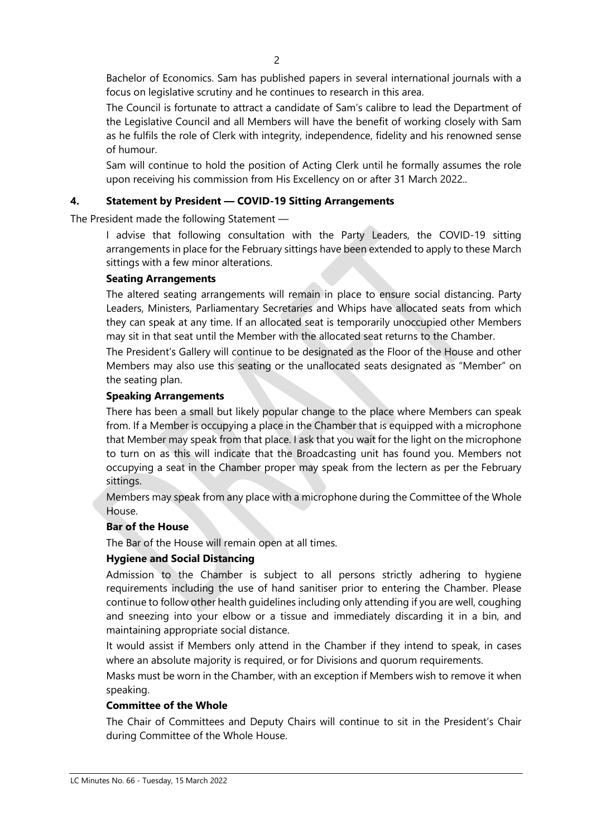Bachelor of Economics. Sam has published papers in several international journals with a focus on legislative scrutiny and he continues to research in this area.

The Council is fortunate to attract a candidate of Sam's calibre to lead the Department of the Legislative Council and all Members will have the benefit of working closely with Sam as he fulfils the role of Clerk with integrity, independence, fidelity and his renowned sense of humour.

Sam will continue to hold the position of Acting Clerk until he formally assumes the role upon receiving his commission from His Excellency on or after 31 March 2022..

#### **4. Statement by President — COVID-19 Sitting Arrangements**

The President made the following Statement —

I advise that following consultation with the Party Leaders, the COVID-19 sitting arrangements in place for the February sittings have been extended to apply to these March sittings with a few minor alterations.

#### **Seating Arrangements**

The altered seating arrangements will remain in place to ensure social distancing. Party Leaders, Ministers, Parliamentary Secretaries and Whips have allocated seats from which they can speak at any time. If an allocated seat is temporarily unoccupied other Members may sit in that seat until the Member with the allocated seat returns to the Chamber.

The President's Gallery will continue to be designated as the Floor of the House and other Members may also use this seating or the unallocated seats designated as "Member" on the seating plan.

#### **Speaking Arrangements**

There has been a small but likely popular change to the place where Members can speak from. If a Member is occupying a place in the Chamber that is equipped with a microphone that Member may speak from that place. I ask that you wait for the light on the microphone to turn on as this will indicate that the Broadcasting unit has found you. Members not occupying a seat in the Chamber proper may speak from the lectern as per the February sittings.

Members may speak from any place with a microphone during the Committee of the Whole House.

#### **Bar of the House**

The Bar of the House will remain open at all times.

#### **Hygiene and Social Distancing**

Admission to the Chamber is subject to all persons strictly adhering to hygiene requirements including the use of hand sanitiser prior to entering the Chamber. Please continue to follow other health guidelines including only attending if you are well, coughing and sneezing into your elbow or a tissue and immediately discarding it in a bin, and maintaining appropriate social distance.

It would assist if Members only attend in the Chamber if they intend to speak, in cases where an absolute majority is required, or for Divisions and quorum requirements.

Masks must be worn in the Chamber, with an exception if Members wish to remove it when speaking.

#### **Committee of the Whole**

The Chair of Committees and Deputy Chairs will continue to sit in the President's Chair during Committee of the Whole House.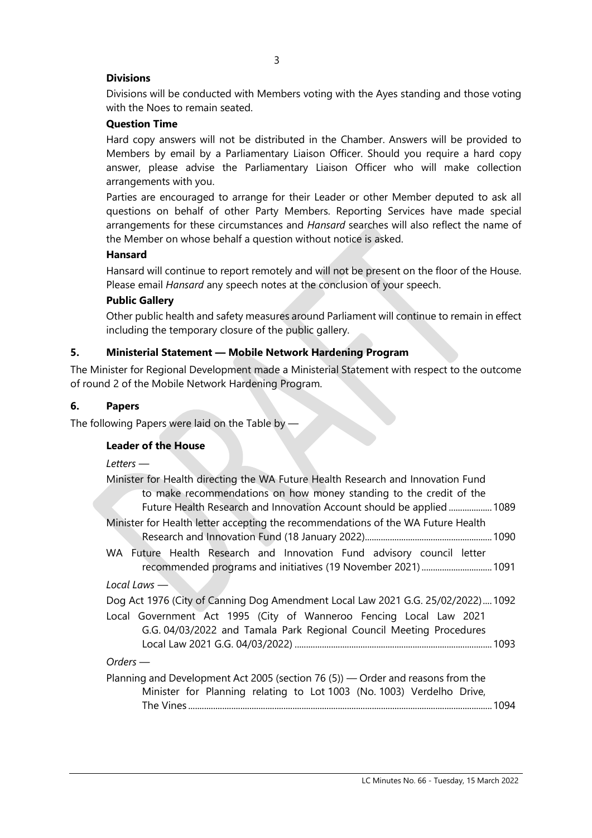#### **Divisions**

Divisions will be conducted with Members voting with the Ayes standing and those voting with the Noes to remain seated.

#### **Question Time**

Hard copy answers will not be distributed in the Chamber. Answers will be provided to Members by email by a Parliamentary Liaison Officer. Should you require a hard copy answer, please advise the Parliamentary Liaison Officer who will make collection arrangements with you.

Parties are encouraged to arrange for their Leader or other Member deputed to ask all questions on behalf of other Party Members. Reporting Services have made special arrangements for these circumstances and *Hansard* searches will also reflect the name of the Member on whose behalf a question without notice is asked.

#### **Hansard**

Hansard will continue to report remotely and will not be present on the floor of the House. Please email *Hansard* any speech notes at the conclusion of your speech.

#### **Public Gallery**

Other public health and safety measures around Parliament will continue to remain in effect including the temporary closure of the public gallery.

#### **5. Ministerial Statement — Mobile Network Hardening Program**

The Minister for Regional Development made a Ministerial Statement with respect to the outcome of round 2 of the Mobile Network Hardening Program.

#### **6. Papers**

The following Papers were laid on the Table by -

#### **Leader of the House**

#### *Letters —*

| Minister for Health directing the WA Future Health Research and Innovation Fund  |  |
|----------------------------------------------------------------------------------|--|
| to make recommendations on how money standing to the credit of the               |  |
| Future Health Research and Innovation Account should be applied  1089            |  |
| Minister for Health letter accepting the recommendations of the WA Future Health |  |
|                                                                                  |  |
| WA Future Health Research and Innovation Fund advisory council letter            |  |
|                                                                                  |  |
| Local Laws $-$                                                                   |  |
| Dog Act 1976 (City of Canning Dog Amendment Local Law 2021 G.G. 25/02/2022)1092  |  |
| Local Government Act 1995 (City of Wanneroo Fencing Local Law 2021               |  |
| G.G. 04/03/2022 and Tamala Park Regional Council Meeting Procedures              |  |
|                                                                                  |  |
| $Orders-$                                                                        |  |
| Planning and Development Act 2005 (section 76 (5)) — Order and reasons from the  |  |
| Minister for Planning relating to Lot 1003 (No. 1003) Verdelho Drive,            |  |

The Vines ......................................................................................................................................1094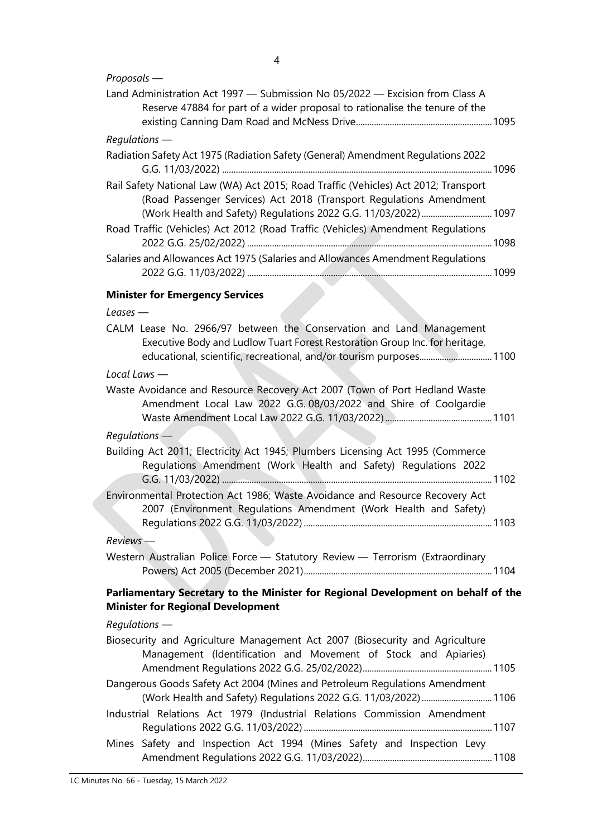4

#### *Proposals —*

| Land Administration Act 1997 - Submission No 05/2022 - Excision from Class A<br>Reserve 47884 for part of a wider proposal to rationalise the tenure of the                                                                   |
|-------------------------------------------------------------------------------------------------------------------------------------------------------------------------------------------------------------------------------|
| $Requlation$ s —                                                                                                                                                                                                              |
| Radiation Safety Act 1975 (Radiation Safety (General) Amendment Regulations 2022                                                                                                                                              |
| Rail Safety National Law (WA) Act 2015; Road Traffic (Vehicles) Act 2012; Transport<br>(Road Passenger Services) Act 2018 (Transport Regulations Amendment<br>(Work Health and Safety) Regulations 2022 G.G. 11/03/2022) 1097 |
| Road Traffic (Vehicles) Act 2012 (Road Traffic (Vehicles) Amendment Regulations                                                                                                                                               |
| Salaries and Allowances Act 1975 (Salaries and Allowances Amendment Regulations                                                                                                                                               |
| <b>Minister for Emergency Services</b>                                                                                                                                                                                        |
| Leases $-$                                                                                                                                                                                                                    |
| CALM Lease No. 2966/97 between the Conservation and Land Management<br>Executive Body and Ludlow Tuart Forest Restoration Group Inc. for heritage,<br>educational, scientific, recreational, and/or tourism purposes 1100     |
| Local Laws -                                                                                                                                                                                                                  |
| Waste Avoidance and Resource Recovery Act 2007 (Town of Port Hedland Waste<br>Amendment Local Law 2022 G.G. 08/03/2022 and Shire of Coolgardie                                                                                |
| $Requirements$ $-$                                                                                                                                                                                                            |
| Building Act 2011; Electricity Act 1945; Plumbers Licensing Act 1995 (Commerce<br>Regulations Amendment (Work Health and Safety) Regulations 2022                                                                             |
| Environmental Protection Act 1986; Waste Avoidance and Resource Recovery Act<br>2007 (Environment Regulations Amendment (Work Health and Safety)                                                                              |
| $Reviews$ —                                                                                                                                                                                                                   |
| Western Australian Police Force - Statutory Review - Terrorism (Extraordinary                                                                                                                                                 |
| Parliamentary Secretary to the Minister for Regional Development on behalf of the<br><b>Minister for Regional Development</b>                                                                                                 |
| Regulations -                                                                                                                                                                                                                 |
| Biosecurity and Agriculture Management Act 2007 (Biosecurity and Agriculture<br>Management (Identification and Movement of Stock and Apiaries)                                                                                |
| Dangerous Goods Safety Act 2004 (Mines and Petroleum Regulations Amendment<br>(Work Health and Safety) Regulations 2022 G.G. 11/03/2022) 1106                                                                                 |
| Industrial Relations Act 1979 (Industrial Relations Commission Amendment                                                                                                                                                      |
| Mines Safety and Inspection Act 1994 (Mines Safety and Inspection Levy                                                                                                                                                        |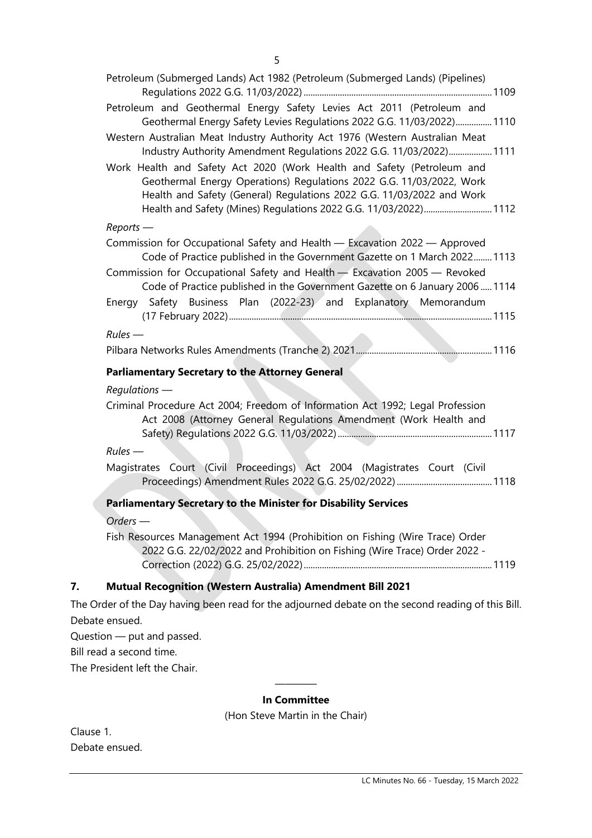| Petroleum (Submerged Lands) Act 1982 (Petroleum (Submerged Lands) (Pipelines)                                                                                                                                                                                                               |  |
|---------------------------------------------------------------------------------------------------------------------------------------------------------------------------------------------------------------------------------------------------------------------------------------------|--|
|                                                                                                                                                                                                                                                                                             |  |
| Petroleum and Geothermal Energy Safety Levies Act 2011 (Petroleum and<br>Geothermal Energy Safety Levies Regulations 2022 G.G. 11/03/2022) 1110                                                                                                                                             |  |
| Western Australian Meat Industry Authority Act 1976 (Western Australian Meat<br>Industry Authority Amendment Regulations 2022 G.G. 11/03/2022) 1111                                                                                                                                         |  |
| Work Health and Safety Act 2020 (Work Health and Safety (Petroleum and<br>Geothermal Energy Operations) Regulations 2022 G.G. 11/03/2022, Work<br>Health and Safety (General) Regulations 2022 G.G. 11/03/2022 and Work<br>Health and Safety (Mines) Regulations 2022 G.G. 11/03/2022) 1112 |  |
| $Reports$ —                                                                                                                                                                                                                                                                                 |  |
| Commission for Occupational Safety and Health - Excavation 2022 - Approved<br>Code of Practice published in the Government Gazette on 1 March 2022 1113                                                                                                                                     |  |
| Commission for Occupational Safety and Health - Excavation 2005 - Revoked<br>Code of Practice published in the Government Gazette on 6 January 2006 1114                                                                                                                                    |  |
| Energy Safety Business Plan (2022-23) and Explanatory Memorandum                                                                                                                                                                                                                            |  |
| $Rules$ —                                                                                                                                                                                                                                                                                   |  |
|                                                                                                                                                                                                                                                                                             |  |
| <b>Parliamentary Secretary to the Attorney General</b>                                                                                                                                                                                                                                      |  |
|                                                                                                                                                                                                                                                                                             |  |
| $Requirements$ —                                                                                                                                                                                                                                                                            |  |
| Criminal Procedure Act 2004; Freedom of Information Act 1992; Legal Profession<br>Act 2008 (Attorney General Regulations Amendment (Work Health and                                                                                                                                         |  |
| $Rules$ —                                                                                                                                                                                                                                                                                   |  |
| Magistrates Court (Civil Proceedings) Act 2004 (Magistrates Court (Civil                                                                                                                                                                                                                    |  |
| Parliamentary Secretary to the Minister for Disability Services                                                                                                                                                                                                                             |  |
| Orders -                                                                                                                                                                                                                                                                                    |  |
| Fish Resources Management Act 1994 (Prohibition on Fishing (Wire Trace) Order<br>2022 G.G. 22/02/2022 and Prohibition on Fishing (Wire Trace) Order 2022 -                                                                                                                                  |  |

#### **7. Mutual Recognition (Western Australia) Amendment Bill 2021**

The Order of the Day having been read for the adjourned debate on the second reading of this Bill. Debate ensued.

Question — put and passed.

Bill read a second time.

The President left the Chair.

#### ———— **In Committee**

(Hon Steve Martin in the Chair)

Clause 1. Debate ensued.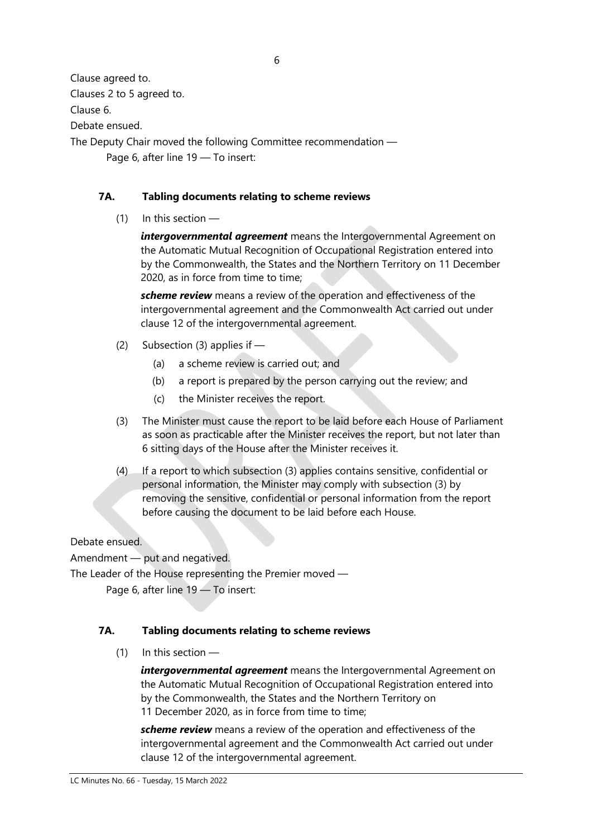Clause agreed to.

Clauses 2 to 5 agreed to.

Clause 6.

Debate ensued.

The Deputy Chair moved the following Committee recommendation — Page 6, after line 19 — To insert:

#### **7A. Tabling documents relating to scheme reviews**

 $(1)$  In this section —

*intergovernmental agreement* means the Intergovernmental Agreement on the Automatic Mutual Recognition of Occupational Registration entered into by the Commonwealth, the States and the Northern Territory on 11 December 2020, as in force from time to time;

*scheme review* means a review of the operation and effectiveness of the intergovernmental agreement and the Commonwealth Act carried out under clause 12 of the intergovernmental agreement.

- (2) Subsection (3) applies if
	- (a) a scheme review is carried out; and
	- (b) a report is prepared by the person carrying out the review; and
	- (c) the Minister receives the report.
- (3) The Minister must cause the report to be laid before each House of Parliament as soon as practicable after the Minister receives the report, but not later than 6 sitting days of the House after the Minister receives it.
- (4) If a report to which subsection (3) applies contains sensitive, confidential or personal information, the Minister may comply with subsection (3) by removing the sensitive, confidential or personal information from the report before causing the document to be laid before each House.

### Debate ensued.

Amendment — put and negatived.

The Leader of the House representing the Premier moved —

Page 6, after line 19 — To insert:

#### **7A. Tabling documents relating to scheme reviews**

(1) In this section —

intergovernmental agreement means the Intergovernmental Agreement on the Automatic Mutual Recognition of Occupational Registration entered into by the Commonwealth, the States and the Northern Territory on 11 December 2020, as in force from time to time;

*scheme review* means a review of the operation and effectiveness of the intergovernmental agreement and the Commonwealth Act carried out under clause 12 of the intergovernmental agreement.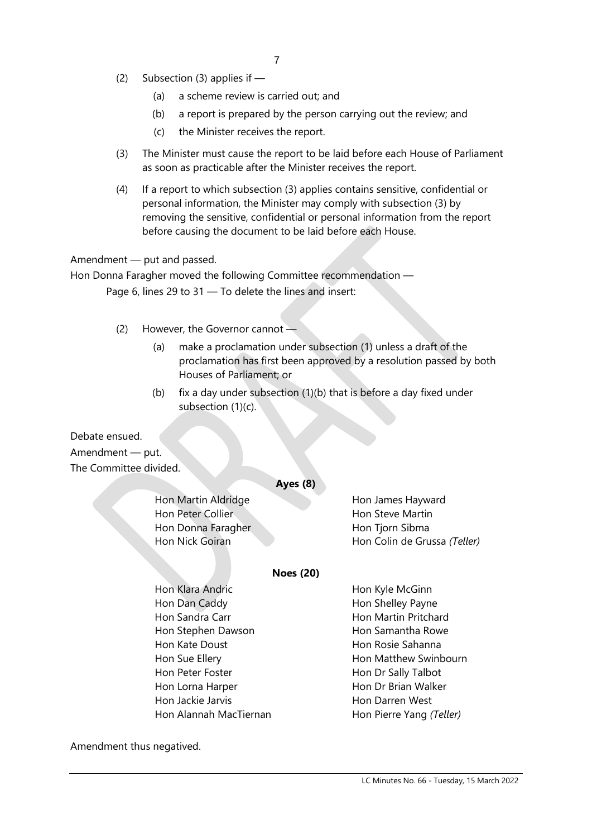- (2) Subsection (3) applies if
	- (a) a scheme review is carried out; and
	- (b) a report is prepared by the person carrying out the review; and
	- (c) the Minister receives the report.
- (3) The Minister must cause the report to be laid before each House of Parliament as soon as practicable after the Minister receives the report.
- (4) If a report to which subsection (3) applies contains sensitive, confidential or personal information, the Minister may comply with subsection (3) by removing the sensitive, confidential or personal information from the report before causing the document to be laid before each House.

#### Amendment — put and passed.

Hon Donna Faragher moved the following Committee recommendation — Page 6, lines 29 to 31 — To delete the lines and insert:

- (2) However, the Governor cannot  $-$ 
	- (a) make a proclamation under subsection (1) unless a draft of the proclamation has first been approved by a resolution passed by both Houses of Parliament; or
	- (b) fix a day under subsection  $(1)(b)$  that is before a day fixed under subsection (1)(c).

Debate ensued. Amendment — put. The Committee divided.

#### **Ayes (8)**

Hon Martin Aldridge Hon James Hayward Hon Peter Collier **Hon Steve Martin** Hon Donna Faragher **Hon Tiorn Sibma** 

Hon Nick Goiran **Hon Colin de Grussa** *(Teller)* 

#### **Noes (20)**

| Hon Klara Andric       | Hon Kyle McGinn          |
|------------------------|--------------------------|
| Hon Dan Caddy          | Hon Shelley Payne        |
| Hon Sandra Carr        | Hon Martin Pritchard     |
| Hon Stephen Dawson     | Hon Samantha Rowe        |
| Hon Kate Doust         | Hon Rosie Sahanna        |
| Hon Sue Ellery         | Hon Matthew Swinbourn    |
| Hon Peter Foster       | Hon Dr Sally Talbot      |
| Hon Lorna Harper       | Hon Dr Brian Walker      |
| Hon Jackie Jarvis      | Hon Darren West          |
| Hon Alannah MacTiernan | Hon Pierre Yang (Teller) |

Amendment thus negatived.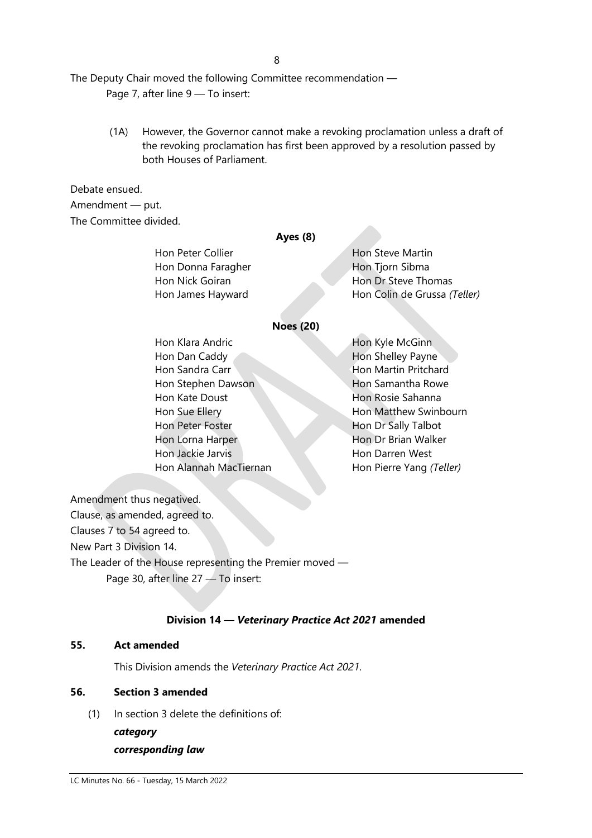8

The Deputy Chair moved the following Committee recommendation —

Page 7, after line 9 - To insert:

(1A) However, the Governor cannot make a revoking proclamation unless a draft of the revoking proclamation has first been approved by a resolution passed by both Houses of Parliament.

#### Debate ensued.

Amendment — put. The Committee divided.

#### **Ayes (8)**

Hon Donna Faragher Hon Tiorn Sibma

Hon Peter Collier **Hon Steve Martin** Hon Nick Goiran **Hon Dr Steve Thomas** Hon James Hayward Hon Colin de Grussa *(Teller)*

#### **Noes (20)**

Hon Klara Andric Hon Kyle McGinn Hon Dan Caddy **Hon Shelley Payne** Hon Sandra Carr Hon Martin Pritchard Hon Stephen Dawson Hon Samantha Rowe **Hon Kate Doust Hon Rosie Sahanna** Hon Sue Ellery **Hon Matthew Swinbourn** Hon Peter Foster **Hon Dr Sally Talbot** Hon Lorna Harper Hon Dr Brian Walker **Hon Jackie Jarvis Hon Darren West** Hon Alannah MacTiernan **Hon Pierre Yang** *(Teller)* 

Amendment thus negatived.

Clause, as amended, agreed to. Clauses 7 to 54 agreed to. New Part 3 Division 14. The Leader of the House representing the Premier moved — Page 30, after line 27 — To insert:

#### **Division 14 —** *Veterinary Practice Act 2021* **amended**

#### **55. Act amended**

This Division amends the *Veterinary Practice Act 2021*.

#### **56. Section 3 amended**

(1) In section 3 delete the definitions of:

*category*

#### *corresponding law*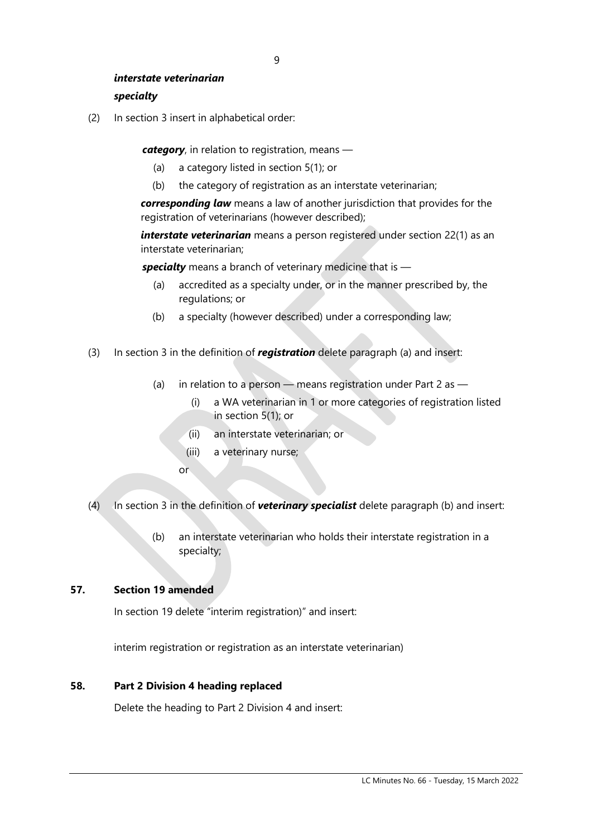#### *interstate veterinarian*

#### *specialty*

(2) In section 3 insert in alphabetical order:

*category*, in relation to registration, means —

- (a) a category listed in section 5(1); or
- (b) the category of registration as an interstate veterinarian;

*corresponding law* means a law of another jurisdiction that provides for the registration of veterinarians (however described);

*interstate veterinarian* means a person registered under section 22(1) as an interstate veterinarian;

*specialty* means a branch of veterinary medicine that is —

- (a) accredited as a specialty under, or in the manner prescribed by, the regulations; or
- (b) a specialty (however described) under a corresponding law;
- (3) In section 3 in the definition of *registration* delete paragraph (a) and insert:
	- (a) in relation to a person means registration under Part 2 as
		- (i) a WA veterinarian in 1 or more categories of registration listed in section 5(1); or
		- (ii) an interstate veterinarian; or
		- (iii) a veterinary nurse;
		- or
- (4) In section 3 in the definition of *veterinary specialist* delete paragraph (b) and insert:
	- (b) an interstate veterinarian who holds their interstate registration in a specialty;

#### **57. Section 19 amended**

In section 19 delete "interim registration)" and insert:

interim registration or registration as an interstate veterinarian)

#### **58. Part 2 Division 4 heading replaced**

Delete the heading to Part 2 Division 4 and insert: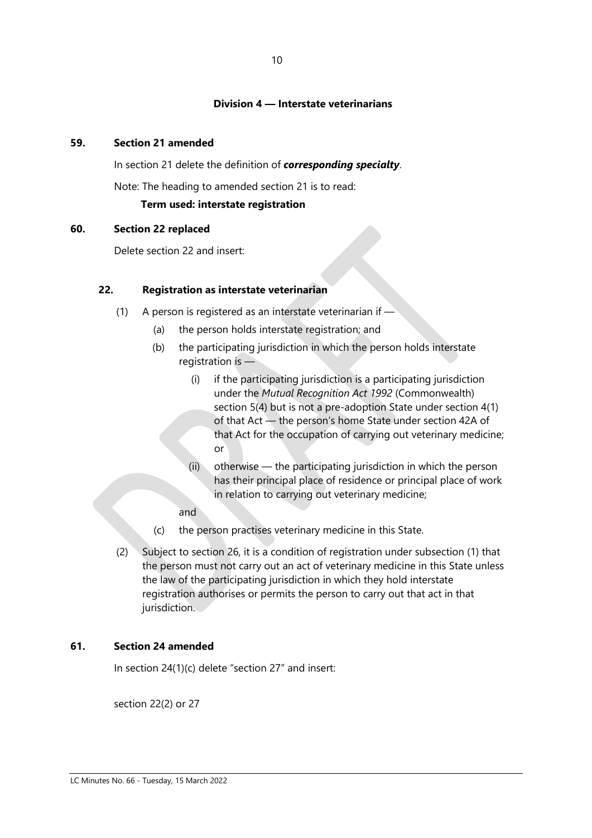#### **Division 4 — Interstate veterinarians**

#### **59. Section 21 amended**

In section 21 delete the definition of *corresponding specialty*.

Note: The heading to amended section 21 is to read:

#### **Term used: interstate registration**

#### **60. Section 22 replaced**

Delete section 22 and insert:

#### **22. Registration as interstate veterinarian**

- (1) A person is registered as an interstate veterinarian if
	- (a) the person holds interstate registration; and
	- (b) the participating jurisdiction in which the person holds interstate registration is —
		- (i) if the participating jurisdiction is a participating jurisdiction under the *Mutual Recognition Act 1992* (Commonwealth) section 5(4) but is not a pre-adoption State under section 4(1) of that Act — the person's home State under section 42A of that Act for the occupation of carrying out veterinary medicine; or
		- (ii) otherwise the participating jurisdiction in which the person has their principal place of residence or principal place of work in relation to carrying out veterinary medicine;
		- and
	- (c) the person practises veterinary medicine in this State.
- (2) Subject to section 26, it is a condition of registration under subsection (1) that the person must not carry out an act of veterinary medicine in this State unless the law of the participating jurisdiction in which they hold interstate registration authorises or permits the person to carry out that act in that jurisdiction.

#### **61. Section 24 amended**

In section 24(1)(c) delete "section 27" and insert:

section 22(2) or 27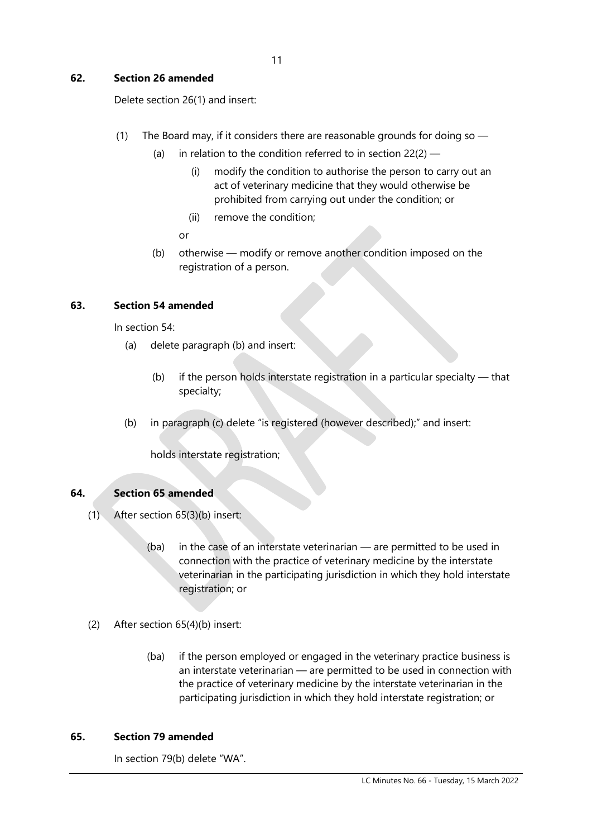#### **62. Section 26 amended**

Delete section 26(1) and insert:

- (1) The Board may, if it considers there are reasonable grounds for doing so  $-$ 
	- (a) in relation to the condition referred to in section  $22(2)$ 
		- (i) modify the condition to authorise the person to carry out an act of veterinary medicine that they would otherwise be prohibited from carrying out under the condition; or
		- (ii) remove the condition;
		- or
	- (b) otherwise modify or remove another condition imposed on the registration of a person.

#### **63. Section 54 amended**

In section 54:

- (a) delete paragraph (b) and insert:
	- (b) if the person holds interstate registration in a particular specialty  $-$  that specialty;
- (b) in paragraph (c) delete "is registered (however described);" and insert:

holds interstate registration;

#### **64. Section 65 amended**

- (1) After section 65(3)(b) insert:
	- (ba) in the case of an interstate veterinarian are permitted to be used in connection with the practice of veterinary medicine by the interstate veterinarian in the participating jurisdiction in which they hold interstate registration; or
- (2) After section 65(4)(b) insert:
	- (ba) if the person employed or engaged in the veterinary practice business is an interstate veterinarian — are permitted to be used in connection with the practice of veterinary medicine by the interstate veterinarian in the participating jurisdiction in which they hold interstate registration; or

#### **65. Section 79 amended**

In section 79(b) delete "WA".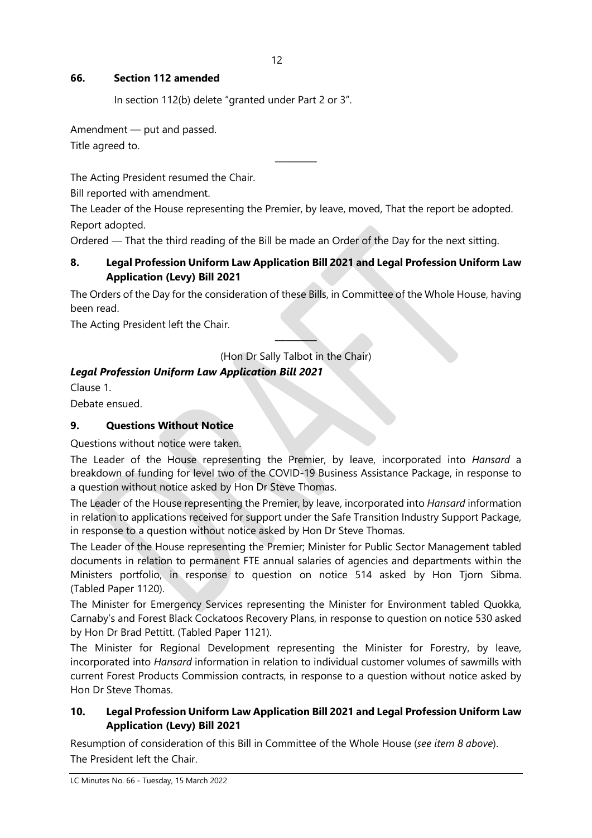#### **66. Section 112 amended**

In section 112(b) delete "granted under Part 2 or 3".

Amendment — put and passed.

Title agreed to.

The Acting President resumed the Chair.

Bill reported with amendment.

The Leader of the House representing the Premier, by leave, moved, That the report be adopted. Report adopted.

————

Ordered — That the third reading of the Bill be made an Order of the Day for the next sitting.

#### **8. Legal Profession Uniform Law Application Bill 2021 and Legal Profession Uniform Law Application (Levy) Bill 2021**

The Orders of the Day for the consideration of these Bills, in Committee of the Whole House, having been read.

The Acting President left the Chair.

———— (Hon Dr Sally Talbot in the Chair)

#### *Legal Profession Uniform Law Application Bill 2021*

Clause 1.

Debate ensued.

#### **9. Questions Without Notice**

Questions without notice were taken.

The Leader of the House representing the Premier, by leave, incorporated into *Hansard* a breakdown of funding for level two of the COVID-19 Business Assistance Package, in response to a question without notice asked by Hon Dr Steve Thomas.

The Leader of the House representing the Premier, by leave, incorporated into *Hansard* information in relation to applications received for support under the Safe Transition Industry Support Package, in response to a question without notice asked by Hon Dr Steve Thomas.

The Leader of the House representing the Premier; Minister for Public Sector Management tabled documents in relation to permanent FTE annual salaries of agencies and departments within the Ministers portfolio, in response to question on notice 514 asked by Hon Tjorn Sibma. (Tabled Paper 1120).

The Minister for Emergency Services representing the Minister for Environment tabled Quokka, Carnaby's and Forest Black Cockatoos Recovery Plans, in response to question on notice 530 asked by Hon Dr Brad Pettitt. (Tabled Paper 1121).

The Minister for Regional Development representing the Minister for Forestry, by leave, incorporated into *Hansard* information in relation to individual customer volumes of sawmills with current Forest Products Commission contracts, in response to a question without notice asked by Hon Dr Steve Thomas.

#### **10. Legal Profession Uniform Law Application Bill 2021 and Legal Profession Uniform Law Application (Levy) Bill 2021**

Resumption of consideration of this Bill in Committee of the Whole House (*see item 8 above*). The President left the Chair.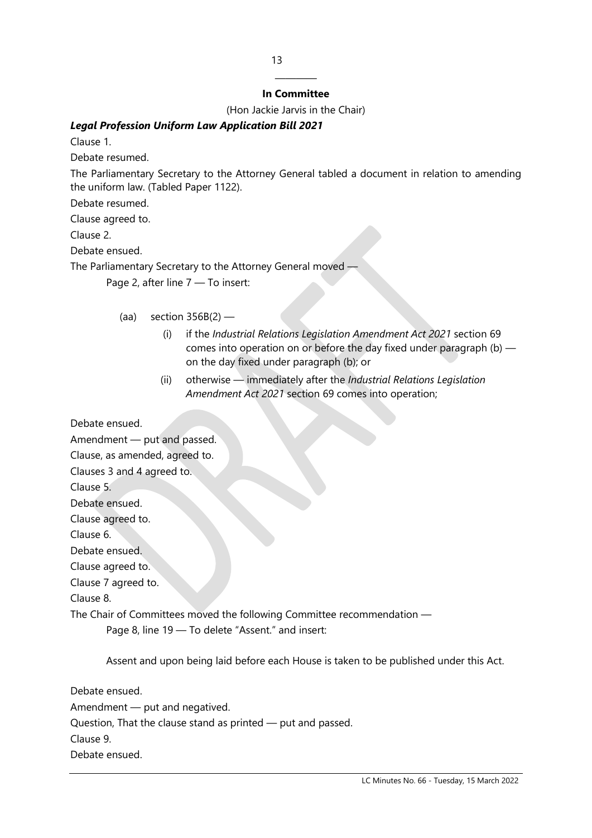#### ———— **In Committee**

(Hon Jackie Jarvis in the Chair)

#### *Legal Profession Uniform Law Application Bill 2021*

Clause 1.

Debate resumed.

The Parliamentary Secretary to the Attorney General tabled a document in relation to amending the uniform law. (Tabled Paper 1122).

Debate resumed.

Clause agreed to.

Clause 2.

Debate ensued.

The Parliamentary Secretary to the Attorney General moved -

Page 2, after line 7 — To insert:

- (aa) section  $356B(2)$ 
	- (i) if the *Industrial Relations Legislation Amendment Act 2021* section 69 comes into operation on or before the day fixed under paragraph (b) on the day fixed under paragraph (b); or
	- (ii) otherwise immediately after the *Industrial Relations Legislation Amendment Act 2021* section 69 comes into operation;

Debate ensued.



Assent and upon being laid before each House is taken to be published under this Act.

Debate ensued. Amendment — put and negatived. Question, That the clause stand as printed — put and passed. Clause 9. Debate ensued.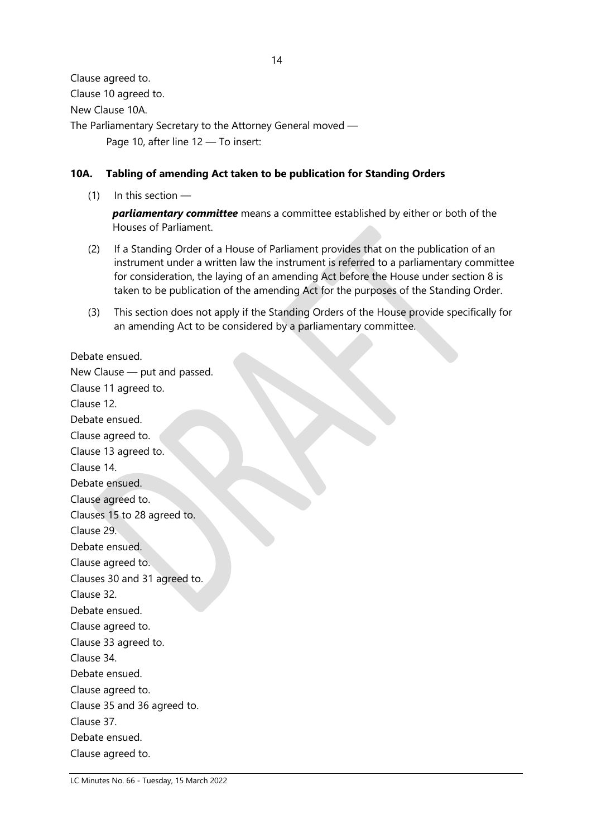Clause agreed to. Clause 10 agreed to. New Clause 10A. The Parliamentary Secretary to the Attorney General moved — Page 10, after line 12 — To insert:

#### **10A. Tabling of amending Act taken to be publication for Standing Orders**

 $(1)$  In this section —

*parliamentary committee* means a committee established by either or both of the Houses of Parliament.

- (2) If a Standing Order of a House of Parliament provides that on the publication of an instrument under a written law the instrument is referred to a parliamentary committee for consideration, the laying of an amending Act before the House under section 8 is taken to be publication of the amending Act for the purposes of the Standing Order.
- (3) This section does not apply if the Standing Orders of the House provide specifically for an amending Act to be considered by a parliamentary committee.

Debate ensued.

New Clause — put and passed. Clause 11 agreed to. Clause 12. Debate ensued. Clause agreed to. Clause 13 agreed to. Clause 14. Debate ensued. Clause agreed to. Clauses 15 to 28 agreed to. Clause 29. Debate ensued. Clause agreed to. Clauses 30 and 31 agreed to. Clause 32. Debate ensued. Clause agreed to. Clause 33 agreed to. Clause 34. Debate ensued. Clause agreed to. Clause 35 and 36 agreed to. Clause 37. Debate ensued. Clause agreed to.

LC Minutes No. 66 - Tuesday, 15 March 2022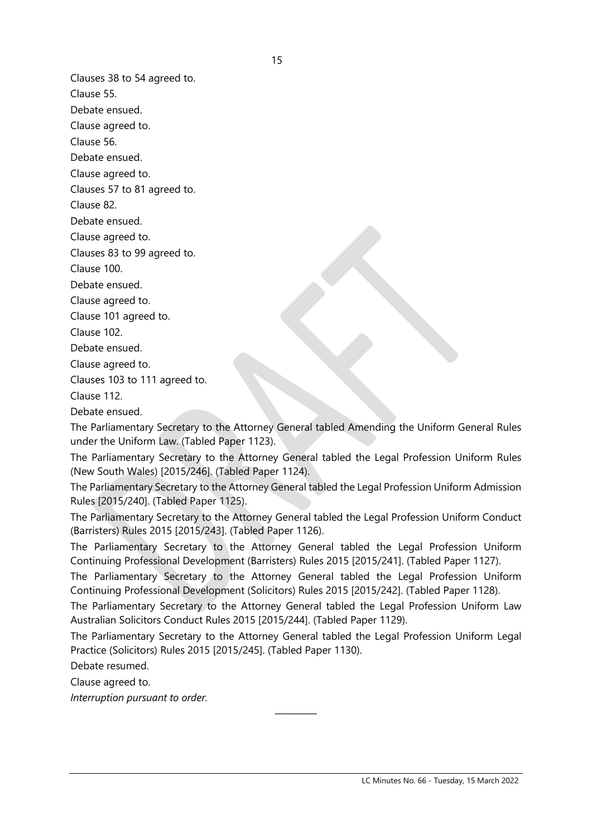Clauses 38 to 54 agreed to.

Clause 55.

Debate ensued.

Clause agreed to.

Clause 56.

Debate ensued.

Clause agreed to.

Clauses 57 to 81 agreed to.

Clause 82.

Debate ensued.

Clause agreed to.

Clauses 83 to 99 agreed to.

Clause 100.

Debate ensued.

Clause agreed to.

Clause 101 agreed to.

Clause 102.

Debate ensued.

Clause agreed to.

Clauses 103 to 111 agreed to.

Clause 112.

Debate ensued.

The Parliamentary Secretary to the Attorney General tabled Amending the Uniform General Rules under the Uniform Law. (Tabled Paper 1123).

The Parliamentary Secretary to the Attorney General tabled the Legal Profession Uniform Rules (New South Wales) [2015/246]. (Tabled Paper 1124).

The Parliamentary Secretary to the Attorney General tabled the Legal Profession Uniform Admission Rules [2015/240]. (Tabled Paper 1125).

The Parliamentary Secretary to the Attorney General tabled the Legal Profession Uniform Conduct (Barristers) Rules 2015 [2015/243]. (Tabled Paper 1126).

The Parliamentary Secretary to the Attorney General tabled the Legal Profession Uniform Continuing Professional Development (Barristers) Rules 2015 [2015/241]. (Tabled Paper 1127).

The Parliamentary Secretary to the Attorney General tabled the Legal Profession Uniform Continuing Professional Development (Solicitors) Rules 2015 [2015/242]. (Tabled Paper 1128).

The Parliamentary Secretary to the Attorney General tabled the Legal Profession Uniform Law Australian Solicitors Conduct Rules 2015 [2015/244]. (Tabled Paper 1129).

The Parliamentary Secretary to the Attorney General tabled the Legal Profession Uniform Legal Practice (Solicitors) Rules 2015 [2015/245]. (Tabled Paper 1130).

————

Debate resumed.

Clause agreed to.

*Interruption pursuant to order.*